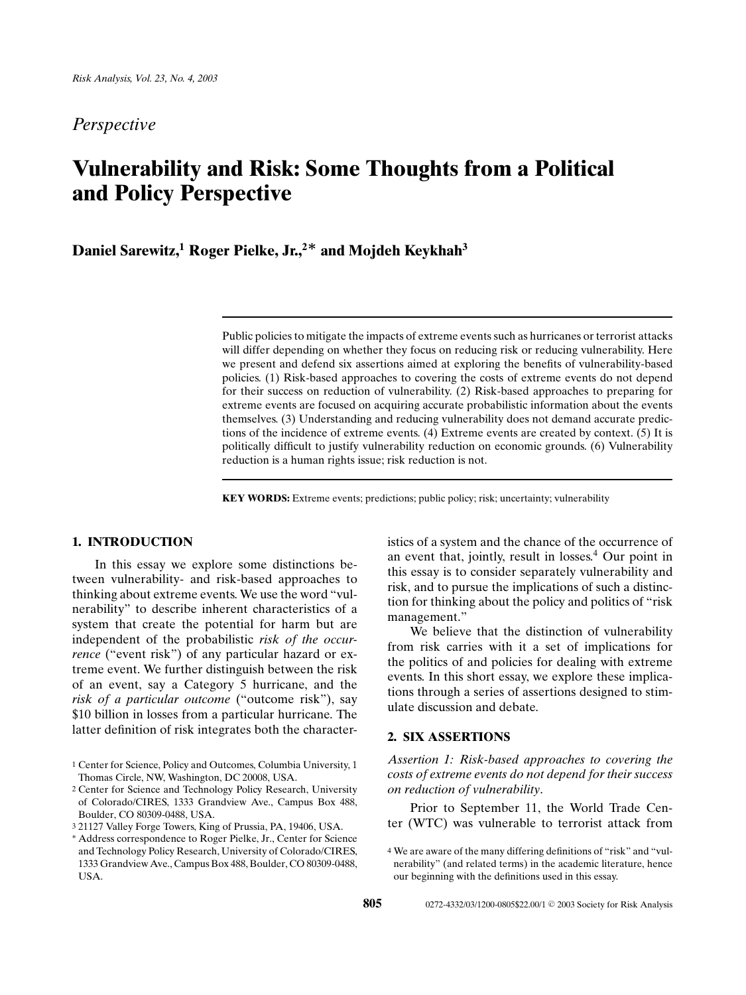*Perspective*

# **Vulnerability and Risk: Some Thoughts from a Political and Policy Perspective**

## **Daniel Sarewitz,1 Roger Pielke, Jr.,2***∗* **and Mojdeh Keykhah3**

Public policies to mitigate the impacts of extreme events such as hurricanes or terrorist attacks will differ depending on whether they focus on reducing risk or reducing vulnerability. Here we present and defend six assertions aimed at exploring the benefits of vulnerability-based policies. (1) Risk-based approaches to covering the costs of extreme events do not depend for their success on reduction of vulnerability. (2) Risk-based approaches to preparing for extreme events are focused on acquiring accurate probabilistic information about the events themselves. (3) Understanding and reducing vulnerability does not demand accurate predictions of the incidence of extreme events. (4) Extreme events are created by context. (5) It is politically difficult to justify vulnerability reduction on economic grounds. (6) Vulnerability reduction is a human rights issue; risk reduction is not.

**KEY WORDS:** Extreme events; predictions; public policy; risk; uncertainty; vulnerability

#### **1. INTRODUCTION**

In this essay we explore some distinctions between vulnerability- and risk-based approaches to thinking about extreme events. We use the word "vulnerability" to describe inherent characteristics of a system that create the potential for harm but are independent of the probabilistic *risk of the occurrence* ("event risk") of any particular hazard or extreme event. We further distinguish between the risk of an event, say a Category 5 hurricane, and the *risk of a particular outcome* ("outcome risk"), say \$10 billion in losses from a particular hurricane. The latter definition of risk integrates both the characteristics of a system and the chance of the occurrence of an event that, jointly, result in losses.<sup>4</sup> Our point in this essay is to consider separately vulnerability and risk, and to pursue the implications of such a distinction for thinking about the policy and politics of "risk management."

We believe that the distinction of vulnerability from risk carries with it a set of implications for the politics of and policies for dealing with extreme events. In this short essay, we explore these implications through a series of assertions designed to stimulate discussion and debate.

#### **2. SIX ASSERTIONS**

*Assertion 1: Risk-based approaches to covering the costs of extreme events do not depend for their success on reduction of vulnerability*.

Prior to September 11, the World Trade Center (WTC) was vulnerable to terrorist attack from

<sup>1</sup> Center for Science, Policy and Outcomes, Columbia University, 1 Thomas Circle, NW, Washington, DC 20008, USA.

<sup>2</sup> Center for Science and Technology Policy Research, University of Colorado/CIRES, 1333 Grandview Ave., Campus Box 488, Boulder, CO 80309-0488, USA.

<sup>3</sup> 21127 Valley Forge Towers, King of Prussia, PA, 19406, USA.

<sup>∗</sup> Address correspondence to Roger Pielke, Jr., Center for Science and Technology Policy Research, University of Colorado/CIRES, 1333 Grandview Ave., Campus Box 488, Boulder, CO 80309-0488, USA.

<sup>4</sup> We are aware of the many differing definitions of "risk" and "vulnerability" (and related terms) in the academic literature, hence our beginning with the definitions used in this essay.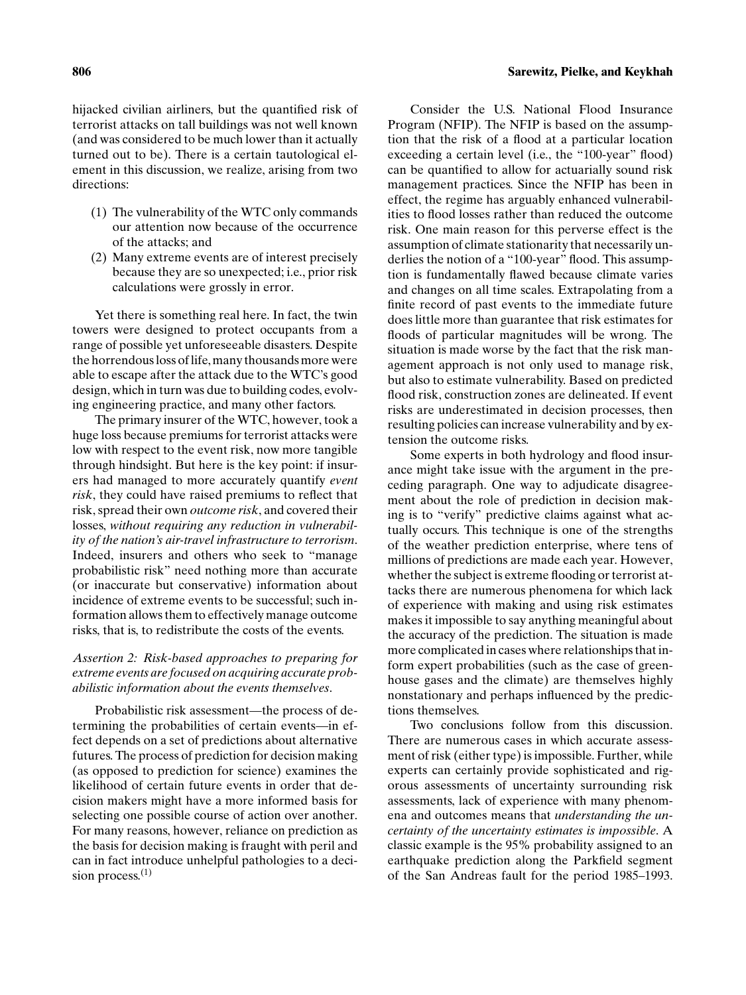hijacked civilian airliners, but the quantified risk of terrorist attacks on tall buildings was not well known (and was considered to be much lower than it actually turned out to be). There is a certain tautological element in this discussion, we realize, arising from two directions:

- (1) The vulnerability of the WTC only commands our attention now because of the occurrence of the attacks; and
- (2) Many extreme events are of interest precisely because they are so unexpected; i.e., prior risk calculations were grossly in error.

Yet there is something real here. In fact, the twin towers were designed to protect occupants from a range of possible yet unforeseeable disasters. Despite the horrendous loss of life, many thousands more were able to escape after the attack due to the WTC's good design, which in turn was due to building codes, evolving engineering practice, and many other factors.

The primary insurer of the WTC, however, took a huge loss because premiums for terrorist attacks were low with respect to the event risk, now more tangible through hindsight. But here is the key point: if insurers had managed to more accurately quantify *event risk*, they could have raised premiums to reflect that risk, spread their own *outcome risk*, and covered their losses, *without requiring any reduction in vulnerability of the nation's air-travel infrastructure to terrorism*. Indeed, insurers and others who seek to "manage probabilistic risk" need nothing more than accurate (or inaccurate but conservative) information about incidence of extreme events to be successful; such information allows them to effectively manage outcome risks, that is, to redistribute the costs of the events.

#### *Assertion 2: Risk-based approaches to preparing for extreme events are focused on acquiring accurate probabilistic information about the events themselves*.

Probabilistic risk assessment—the process of determining the probabilities of certain events—in effect depends on a set of predictions about alternative futures. The process of prediction for decision making (as opposed to prediction for science) examines the likelihood of certain future events in order that decision makers might have a more informed basis for selecting one possible course of action over another. For many reasons, however, reliance on prediction as the basis for decision making is fraught with peril and can in fact introduce unhelpful pathologies to a decision process. $(1)$ 

Consider the U.S. National Flood Insurance Program (NFIP). The NFIP is based on the assumption that the risk of a flood at a particular location exceeding a certain level (i.e., the "100-year" flood) can be quantified to allow for actuarially sound risk management practices. Since the NFIP has been in effect, the regime has arguably enhanced vulnerabilities to flood losses rather than reduced the outcome risk. One main reason for this perverse effect is the assumption of climate stationarity that necessarily underlies the notion of a "100-year" flood. This assumption is fundamentally flawed because climate varies and changes on all time scales. Extrapolating from a finite record of past events to the immediate future does little more than guarantee that risk estimates for floods of particular magnitudes will be wrong. The situation is made worse by the fact that the risk management approach is not only used to manage risk, but also to estimate vulnerability. Based on predicted flood risk, construction zones are delineated. If event risks are underestimated in decision processes, then resulting policies can increase vulnerability and by extension the outcome risks.

Some experts in both hydrology and flood insurance might take issue with the argument in the preceding paragraph. One way to adjudicate disagreement about the role of prediction in decision making is to "verify" predictive claims against what actually occurs. This technique is one of the strengths of the weather prediction enterprise, where tens of millions of predictions are made each year. However, whether the subject is extreme flooding or terrorist attacks there are numerous phenomena for which lack of experience with making and using risk estimates makes it impossible to say anything meaningful about the accuracy of the prediction. The situation is made more complicated in cases where relationships that inform expert probabilities (such as the case of greenhouse gases and the climate) are themselves highly nonstationary and perhaps influenced by the predictions themselves.

Two conclusions follow from this discussion. There are numerous cases in which accurate assessment of risk (either type) is impossible. Further, while experts can certainly provide sophisticated and rigorous assessments of uncertainty surrounding risk assessments, lack of experience with many phenomena and outcomes means that *understanding the uncertainty of the uncertainty estimates is impossible*. A classic example is the 95% probability assigned to an earthquake prediction along the Parkfield segment of the San Andreas fault for the period 1985–1993.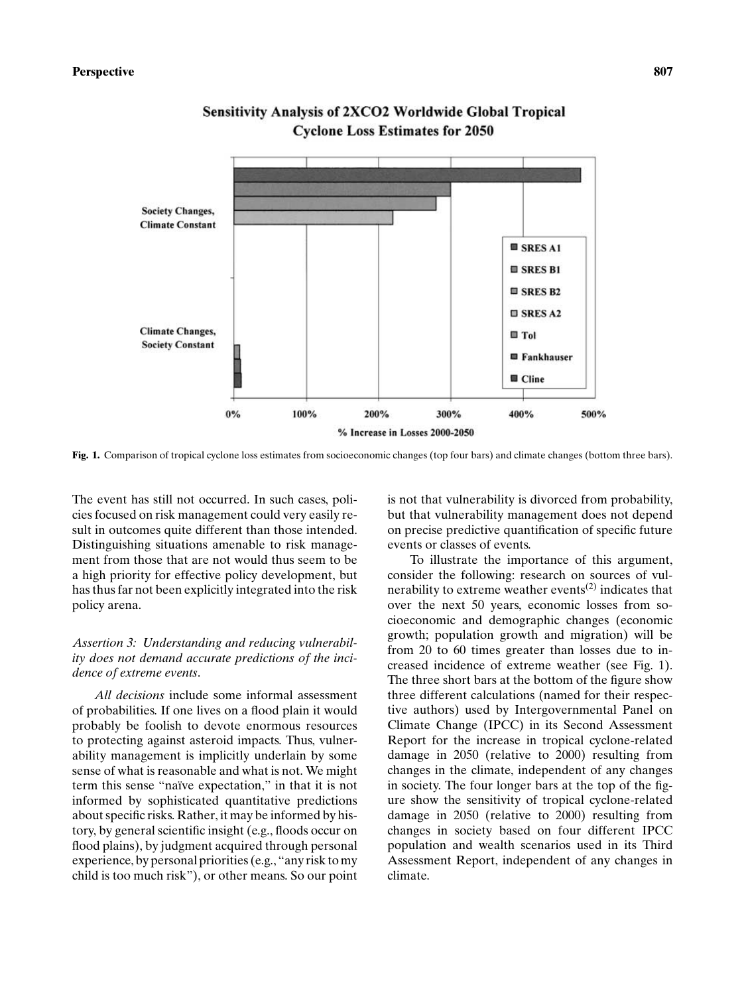

### **Sensitivity Analysis of 2XCO2 Worldwide Global Tropical Cyclone Loss Estimates for 2050**

**Fig. 1.** Comparison of tropical cyclone loss estimates from socioeconomic changes (top four bars) and climate changes (bottom three bars).

The event has still not occurred. In such cases, policies focused on risk management could very easily result in outcomes quite different than those intended. Distinguishing situations amenable to risk management from those that are not would thus seem to be a high priority for effective policy development, but has thus far not been explicitly integrated into the risk policy arena.

#### *Assertion 3: Understanding and reducing vulnerability does not demand accurate predictions of the incidence of extreme events*.

*All decisions* include some informal assessment of probabilities. If one lives on a flood plain it would probably be foolish to devote enormous resources to protecting against asteroid impacts. Thus, vulnerability management is implicitly underlain by some sense of what is reasonable and what is not. We might term this sense "naïve expectation," in that it is not informed by sophisticated quantitative predictions about specific risks. Rather, it may be informed by history, by general scientific insight (e.g., floods occur on flood plains), by judgment acquired through personal experience, by personal priorities (e.g., "any risk to my child is too much risk"), or other means. So our point is not that vulnerability is divorced from probability, but that vulnerability management does not depend on precise predictive quantification of specific future events or classes of events.

To illustrate the importance of this argument, consider the following: research on sources of vulnerability to extreme weather events<sup> $(2)$ </sup> indicates that over the next 50 years, economic losses from socioeconomic and demographic changes (economic growth; population growth and migration) will be from 20 to 60 times greater than losses due to increased incidence of extreme weather (see Fig. 1). The three short bars at the bottom of the figure show three different calculations (named for their respective authors) used by Intergovernmental Panel on Climate Change (IPCC) in its Second Assessment Report for the increase in tropical cyclone-related damage in 2050 (relative to 2000) resulting from changes in the climate, independent of any changes in society. The four longer bars at the top of the figure show the sensitivity of tropical cyclone-related damage in 2050 (relative to 2000) resulting from changes in society based on four different IPCC population and wealth scenarios used in its Third Assessment Report, independent of any changes in climate.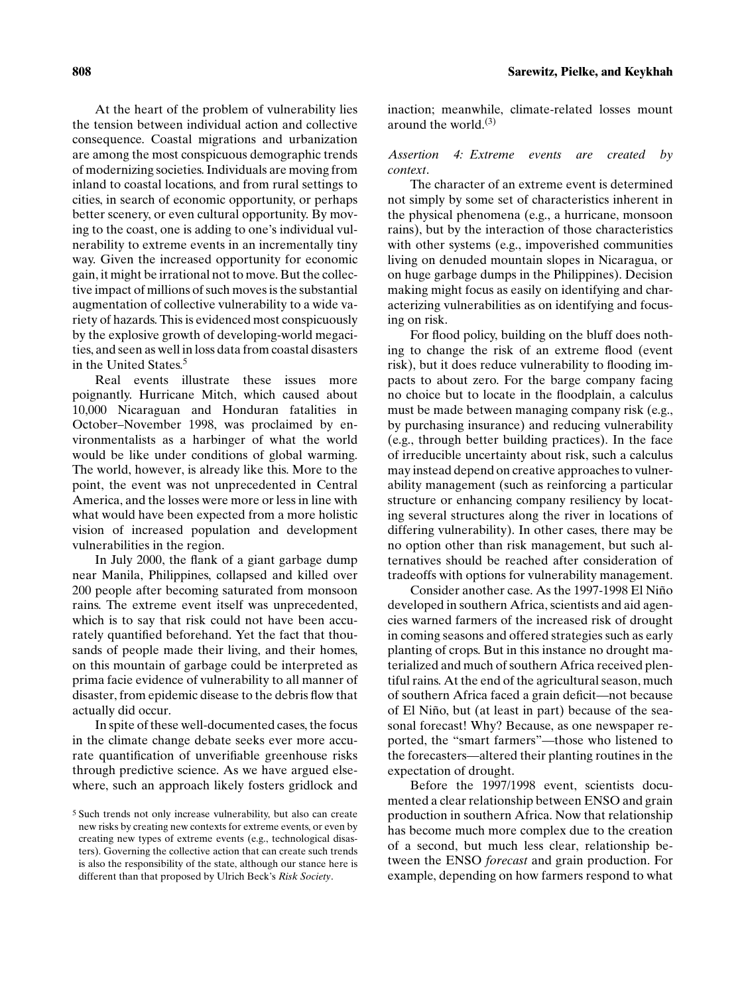At the heart of the problem of vulnerability lies the tension between individual action and collective consequence. Coastal migrations and urbanization are among the most conspicuous demographic trends of modernizing societies. Individuals are moving from inland to coastal locations, and from rural settings to cities, in search of economic opportunity, or perhaps better scenery, or even cultural opportunity. By moving to the coast, one is adding to one's individual vulnerability to extreme events in an incrementally tiny way. Given the increased opportunity for economic gain, it might be irrational not to move. But the collective impact of millions of such moves is the substantial augmentation of collective vulnerability to a wide variety of hazards. This is evidenced most conspicuously by the explosive growth of developing-world megacities, and seen as well in loss data from coastal disasters in the United States.<sup>5</sup>

Real events illustrate these issues more poignantly. Hurricane Mitch, which caused about 10,000 Nicaraguan and Honduran fatalities in October–November 1998, was proclaimed by environmentalists as a harbinger of what the world would be like under conditions of global warming. The world, however, is already like this. More to the point, the event was not unprecedented in Central America, and the losses were more or less in line with what would have been expected from a more holistic vision of increased population and development vulnerabilities in the region.

In July 2000, the flank of a giant garbage dump near Manila, Philippines, collapsed and killed over 200 people after becoming saturated from monsoon rains. The extreme event itself was unprecedented, which is to say that risk could not have been accurately quantified beforehand. Yet the fact that thousands of people made their living, and their homes, on this mountain of garbage could be interpreted as prima facie evidence of vulnerability to all manner of disaster, from epidemic disease to the debris flow that actually did occur.

In spite of these well-documented cases, the focus in the climate change debate seeks ever more accurate quantification of unverifiable greenhouse risks through predictive science. As we have argued elsewhere, such an approach likely fosters gridlock and inaction; meanwhile, climate-related losses mount around the world. $(3)$ 

#### *Assertion 4: Extreme events are created by context*.

The character of an extreme event is determined not simply by some set of characteristics inherent in the physical phenomena (e.g., a hurricane, monsoon rains), but by the interaction of those characteristics with other systems (e.g., impoverished communities living on denuded mountain slopes in Nicaragua, or on huge garbage dumps in the Philippines). Decision making might focus as easily on identifying and characterizing vulnerabilities as on identifying and focusing on risk.

For flood policy, building on the bluff does nothing to change the risk of an extreme flood (event risk), but it does reduce vulnerability to flooding impacts to about zero. For the barge company facing no choice but to locate in the floodplain, a calculus must be made between managing company risk (e.g., by purchasing insurance) and reducing vulnerability (e.g., through better building practices). In the face of irreducible uncertainty about risk, such a calculus may instead depend on creative approaches to vulnerability management (such as reinforcing a particular structure or enhancing company resiliency by locating several structures along the river in locations of differing vulnerability). In other cases, there may be no option other than risk management, but such alternatives should be reached after consideration of tradeoffs with options for vulnerability management.

Consider another case. As the 1997-1998 El Niño developed in southern Africa, scientists and aid agencies warned farmers of the increased risk of drought in coming seasons and offered strategies such as early planting of crops. But in this instance no drought materialized and much of southern Africa received plentiful rains. At the end of the agricultural season, much of southern Africa faced a grain deficit—not because of El Niño, but (at least in part) because of the seasonal forecast! Why? Because, as one newspaper reported, the "smart farmers"—those who listened to the forecasters—altered their planting routines in the expectation of drought.

Before the 1997/1998 event, scientists documented a clear relationship between ENSO and grain production in southern Africa. Now that relationship has become much more complex due to the creation of a second, but much less clear, relationship between the ENSO *forecast* and grain production. For example, depending on how farmers respond to what

<sup>5</sup> Such trends not only increase vulnerability, but also can create new risks by creating new contexts for extreme events, or even by creating new types of extreme events (e.g., technological disasters). Governing the collective action that can create such trends is also the responsibility of the state, although our stance here is different than that proposed by Ulrich Beck's *Risk Society*.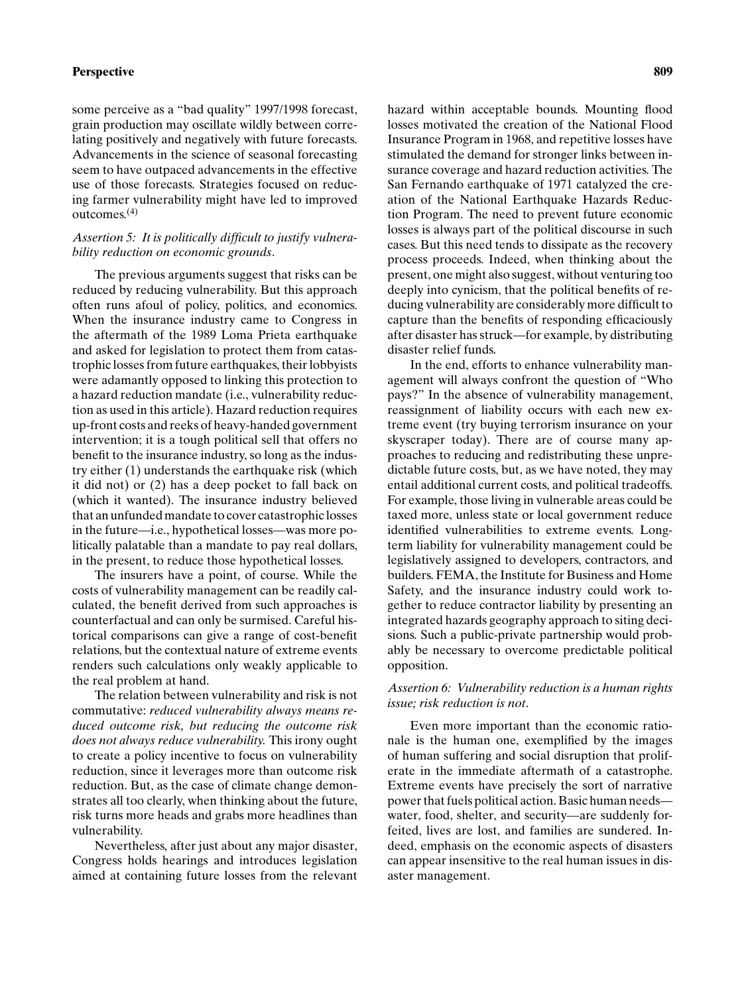#### **Perspective 809**

some perceive as a "bad quality" 1997/1998 forecast, grain production may oscillate wildly between correlating positively and negatively with future forecasts. Advancements in the science of seasonal forecasting seem to have outpaced advancements in the effective use of those forecasts. Strategies focused on reducing farmer vulnerability might have led to improved outcomes.(4)

#### *Assertion 5: It is politically difficult to justify vulnerability reduction on economic grounds*.

The previous arguments suggest that risks can be reduced by reducing vulnerability. But this approach often runs afoul of policy, politics, and economics. When the insurance industry came to Congress in the aftermath of the 1989 Loma Prieta earthquake and asked for legislation to protect them from catastrophic losses from future earthquakes, their lobbyists were adamantly opposed to linking this protection to a hazard reduction mandate (i.e., vulnerability reduction as used in this article). Hazard reduction requires up-front costs and reeks of heavy-handed government intervention; it is a tough political sell that offers no benefit to the insurance industry, so long as the industry either (1) understands the earthquake risk (which it did not) or (2) has a deep pocket to fall back on (which it wanted). The insurance industry believed that an unfunded mandate to cover catastrophic losses in the future—i.e., hypothetical losses—was more politically palatable than a mandate to pay real dollars, in the present, to reduce those hypothetical losses.

The insurers have a point, of course. While the costs of vulnerability management can be readily calculated, the benefit derived from such approaches is counterfactual and can only be surmised. Careful historical comparisons can give a range of cost-benefit relations, but the contextual nature of extreme events renders such calculations only weakly applicable to the real problem at hand.

The relation between vulnerability and risk is not commutative: *reduced vulnerability always means reduced outcome risk, but reducing the outcome risk does not always reduce vulnerability.* This irony ought to create a policy incentive to focus on vulnerability reduction, since it leverages more than outcome risk reduction. But, as the case of climate change demonstrates all too clearly, when thinking about the future, risk turns more heads and grabs more headlines than vulnerability.

Nevertheless, after just about any major disaster, Congress holds hearings and introduces legislation aimed at containing future losses from the relevant hazard within acceptable bounds. Mounting flood losses motivated the creation of the National Flood Insurance Program in 1968, and repetitive losses have stimulated the demand for stronger links between insurance coverage and hazard reduction activities. The San Fernando earthquake of 1971 catalyzed the creation of the National Earthquake Hazards Reduction Program. The need to prevent future economic losses is always part of the political discourse in such cases. But this need tends to dissipate as the recovery process proceeds. Indeed, when thinking about the present, one might also suggest, without venturing too deeply into cynicism, that the political benefits of reducing vulnerability are considerably more difficult to capture than the benefits of responding efficaciously after disaster has struck—for example, by distributing disaster relief funds.

In the end, efforts to enhance vulnerability management will always confront the question of "Who pays?" In the absence of vulnerability management, reassignment of liability occurs with each new extreme event (try buying terrorism insurance on your skyscraper today). There are of course many approaches to reducing and redistributing these unpredictable future costs, but, as we have noted, they may entail additional current costs, and political tradeoffs. For example, those living in vulnerable areas could be taxed more, unless state or local government reduce identified vulnerabilities to extreme events. Longterm liability for vulnerability management could be legislatively assigned to developers, contractors, and builders. FEMA, the Institute for Business and Home Safety, and the insurance industry could work together to reduce contractor liability by presenting an integrated hazards geography approach to siting decisions. Such a public-private partnership would probably be necessary to overcome predictable political opposition.

#### *Assertion 6: Vulnerability reduction is a human rights issue; risk reduction is not*.

Even more important than the economic rationale is the human one, exemplified by the images of human suffering and social disruption that proliferate in the immediate aftermath of a catastrophe. Extreme events have precisely the sort of narrative power that fuels political action. Basic human needs water, food, shelter, and security—are suddenly forfeited, lives are lost, and families are sundered. Indeed, emphasis on the economic aspects of disasters can appear insensitive to the real human issues in disaster management.